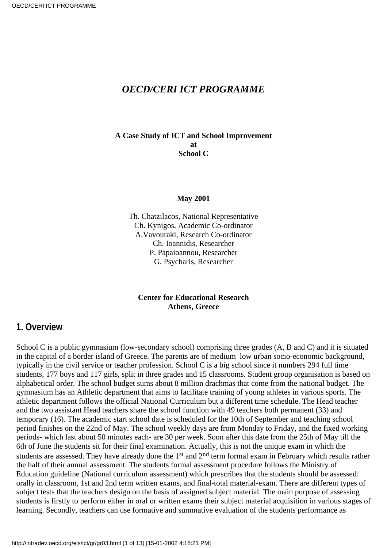#### *OECD/CERI ICT PROGRAMME*

#### **A Case Study of ICT and School Improvement at School C**

#### **May 2001**

Th. Chatzilacos, National Representative Ch. Kynigos, Academic Co-ordinator A.Vavouraki, Research Co-ordinator Ch. Ioannidis, Researcher P. Papaioannou, Researcher G. Psycharis, Researcher

#### **Center for Educational Research Athens, Greece**

#### **1. Overview**

School C is a public gymnasium (low-secondary school) comprising three grades (A, B and C) and it is situated in the capital of a border island of Greece. The parents are of medium low urban socio-economic background, typically in the civil service or teacher profession. School C is a big school since it numbers 294 full time students, 177 boys and 117 girls, split in three grades and 15 classrooms. Student group organisation is based on alphabetical order. The school budget sums about 8 million drachmas that come from the national budget. The gymnasium has an Athletic department that aims to facilitate training of young athletes in various sports. The athletic department follows the official National Curriculum but a different time schedule. The Head teacher and the two assistant Head teachers share the school function with 49 teachers both permanent (33) and temporary (16). The academic start school date is scheduled for the 10th of September and teaching school period finishes on the 22nd of May. The school weekly days are from Monday to Friday, and the fixed working periods- which last about 50 minutes each- are 30 per week. Soon after this date from the 25th of May till the 6th of June the students sit for their final examination. Actually, this is not the unique exam in which the students are assessed. They have already done the 1<sup>st</sup> and 2<sup>nd</sup> term formal exam in February which results rather the half of their annual assessment. The students formal assessment procedure follows the Ministry of Education guideline (National curriculum assessment) which prescribes that the students should be assessed: orally in classroom, 1st and 2nd term written exams, and final-total material-exam. There are different types of subject tests that the teachers design on the basis of assigned subject material. The main purpose of assessing students is firstly to perform either in oral or written exams their subject material acquisition in various stages of learning. Secondly, teachers can use formative and summative evaluation of the students performance as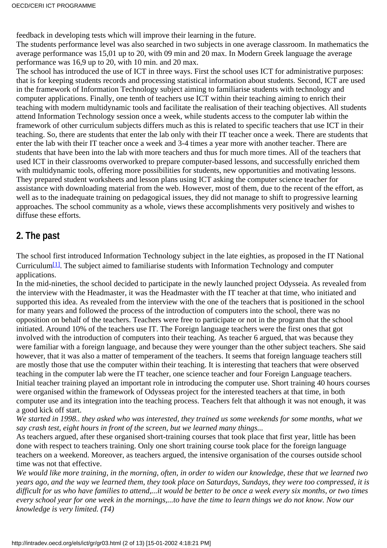feedback in developing tests which will improve their learning in the future.

The students performance level was also searched in two subjects in one average classroom. In mathematics the average performance was 15,01 up to 20, with 09 min and 20 max. In Modern Greek language the average performance was 16,9 up to 20, with 10 min. and 20 max.

The school has introduced the use of ICT in three ways. First the school uses ICT for administrative purposes: that is for keeping students records and processing statistical information about students. Second, ICT are used in the framework of Information Technology subject aiming to familiarise students with technology and computer applications. Finally, one tenth of teachers use ICT within their teaching aiming to enrich their teaching with modern multidynamic tools and facilitate the realisation of their teaching objectives. All students attend Information Technology session once a week, while students access to the computer lab within the framework of other curriculum subjects differs much as this is related to specific teachers that use ICT in their teaching. So, there are students that enter the lab only with their IT teacher once a week. There are students that enter the lab with their IT teacher once a week and 3-4 times a year more with another teacher. There are students that have been into the lab with more teachers and thus for much more times. All of the teachers that used ICT in their classrooms overworked to prepare computer-based lessons, and successfully enriched them with multidynamic tools, offering more possibilities for students, new opportunities and motivating lessons. They prepared student worksheets and lesson plans using ICT asking the computer science teacher for assistance with downloading material from the web. However, most of them, due to the recent of the effort, as well as to the inadequate training on pedagogical issues, they did not manage to shift to progressive learning approaches. The school community as a whole, views these accomplishments very positively and wishes to diffuse these efforts.

### **2. The past**

<span id="page-1-0"></span>The school first introduced Information Technology subject in the late eighties, as proposed in the IT National Curriculum<sup>[\[1\]](#page-12-0)</sup>. The subject aimed to familiarise students with Information Technology and computer applications.

In the mid-nineties, the school decided to participate in the newly launched project Odysseia. As revealed from the interview with the Headmaster, it was the Headmaster with the IT teacher at that time, who initiated and supported this idea. As revealed from the interview with the one of the teachers that is positioned in the school for many years and followed the process of the introduction of computers into the school, there was no opposition on behalf of the teachers. Teachers were free to participate or not in the program that the school initiated. Around 10% of the teachers use IT. The Foreign language teachers were the first ones that got involved with the introduction of computers into their teaching. As teacher 6 argued, that was because they were familiar with a foreign language, and because they were younger than the other subject teachers. She said however, that it was also a matter of temperament of the teachers. It seems that foreign language teachers still are mostly those that use the computer within their teaching. It is interesting that teachers that were observed teaching in the computer lab were the IT teacher, one science teacher and four Foreign Language teachers. Initial teacher training played an important role in introducing the computer use. Short training 40 hours courses were organised within the framework of Odysseas project for the interested teachers at that time, in both computer use and its integration into the teaching process. Teachers felt that although it was not enough, it was a good kick off start.

*We started in 1998.. they asked who was interested, they trained us some weekends for some months, what we say crash test, eight hours in front of the screen, but we learned many things...*

As teachers argued, after these organised short-training courses that took place that first year, little has been done with respect to teachers training. Only one short training course took place for the foreign language teachers on a weekend. Moreover, as teachers argued, the intensive organisation of the courses outside school time was not that effective.

*We would like more training, in the morning, often, in order to widen our knowledge, these that we learned two years ago, and the way we learned them, they took place on Saturdays, Sundays, they were too compressed, it is difficult for us who have families to attend,...it would be better to be once a week every six months, or two times every school year for one week in the mornings,...to have the time to learn things we do not know. Now our knowledge is very limited. (T4)*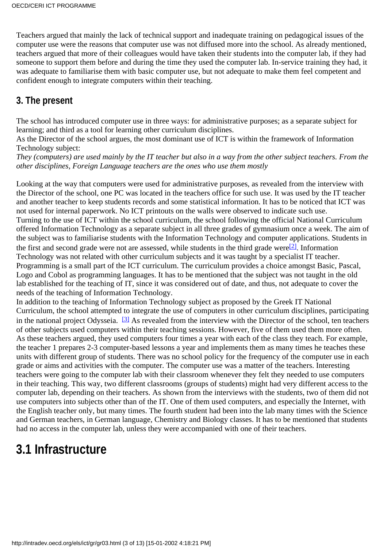Teachers argued that mainly the lack of technical support and inadequate training on pedagogical issues of the computer use were the reasons that computer use was not diffused more into the school. As already mentioned, teachers argued that more of their colleagues would have taken their students into the computer lab, if they had someone to support them before and during the time they used the computer lab. In-service training they had, it was adequate to familiarise them with basic computer use, but not adequate to make them feel competent and confident enough to integrate computers within their teaching.

## **3. The present**

The school has introduced computer use in three ways: for administrative purposes; as a separate subject for learning; and third as a tool for learning other curriculum disciplines.

As the Director of the school argues, the most dominant use of ICT is within the framework of Information Technology subject:

*They (computers) are used mainly by the IT teacher but also in a way from the other subject teachers. From the other disciplines, Foreign Language teachers are the ones who use them mostly*

Looking at the way that computers were used for administrative purposes, as revealed from the interview with the Director of the school, one PC was located in the teachers office for such use. It was used by the IT teacher and another teacher to keep students records and some statistical information. It has to be noticed that ICT was not used for internal paperwork. No ICT printouts on the walls were observed to indicate such use. Turning to the use of ICT within the school curriculum, the school following the official National Curriculum offered Information Technology as a separate subject in all three grades of gymnasium once a week. The aim of the subject was to familiarise students with the Information Technology and computer applications. Students in the first and second grade were not are assessed, while students in the third grade were<sup>[2]</sup>. Information Technology was not related with other curriculum subjects and it was taught by a specialist IT teacher. Programming is a small part of the ICT curriculum. The curriculum provides a choice amongst Basic, Pascal, Logo and Cobol as programming languages. It has to be mentioned that the subject was not taught in the old lab established for the teaching of IT, since it was considered out of date, and thus, not adequate to cover the needs of the teaching of Information Technology.

<span id="page-2-1"></span><span id="page-2-0"></span>In addition to the teaching of Information Technology subject as proposed by the Greek IT National Curriculum, the school attempted to integrate the use of computers in other curriculum disciplines, participating in the national project Odysseia.<sup>[3]</sup> As revealed from the interview with the Director of the school, ten teachers of other subjects used computers within their teaching sessions. However, five of them used them more often. As these teachers argued, they used computers four times a year with each of the class they teach. For example, the teacher 1 prepares 2-3 computer-based lessons a year and implements them as many times he teaches these units with different group of students. There was no school policy for the frequency of the computer use in each grade or aims and activities with the computer. The computer use was a matter of the teachers. Interesting teachers were going to the computer lab with their classroom whenever they felt they needed to use computers in their teaching. This way, two different classrooms (groups of students) might had very different access to the computer lab, depending on their teachers. As shown from the interviews with the students, two of them did not use computers into subjects other than of the IT. One of them used computers, and especially the Internet, with the English teacher only, but many times. The fourth student had been into the lab many times with the Science and German teachers, in German language, Chemistry and Biology classes. It has to be mentioned that students had no access in the computer lab, unless they were accompanied with one of their teachers.

## **3.1 Infrastructure**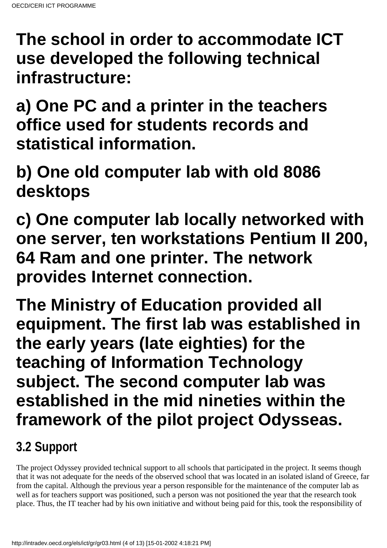**The school in order to accommodate ICT use developed the following technical infrastructure:**

**a) One PC and a printer in the teachers office used for students records and statistical information.**

**b) One old computer lab with old 8086 desktops**

**c) One computer lab locally networked with one server, ten workstations Pentium II 200, 64 Ram and one printer. The network provides Internet connection.**

**The Ministry of Education provided all equipment. The first lab was established in the early years (late eighties) for the teaching of Information Technology subject. The second computer lab was established in the mid nineties within the framework of the pilot project Odysseas.**

# **3.2 Support**

The project Odyssey provided technical support to all schools that participated in the project. It seems though that it was not adequate for the needs of the observed school that was located in an isolated island of Greece, far from the capital. Although the previous year a person responsible for the maintenance of the computer lab as well as for teachers support was positioned, such a person was not positioned the year that the research took place. Thus, the IT teacher had by his own initiative and without being paid for this, took the responsibility of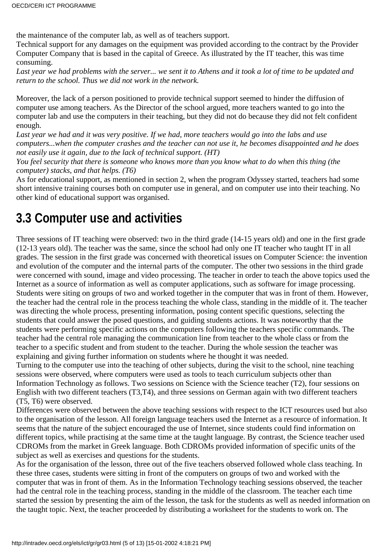the maintenance of the computer lab, as well as of teachers support.

Technical support for any damages on the equipment was provided according to the contract by the Provider Computer Company that is based in the capital of Greece. As illustrated by the IT teacher, this was time consuming.

*Last year we had problems with the server... we sent it to Athens and it took a lot of time to be updated and return to the school. Thus we did not work in the network.*

Moreover, the lack of a person positioned to provide technical support seemed to hinder the diffusion of computer use among teachers. As the Director of the school argued, more teachers wanted to go into the computer lab and use the computers in their teaching, but they did not do because they did not felt confident enough.

*Last year we had and it was very positive. If we had, more teachers would go into the labs and use computers...when the computer crashes and the teacher can not use it, he becomes disappointed and he does not easily use it again, due to the lack of technical support. (HT)*

*You feel security that there is someone who knows more than you know what to do when this thing (the computer) stacks, and that helps. (T6)*

As for educational support, as mentioned in section 2, when the program Odyssey started, teachers had some short intensive training courses both on computer use in general, and on computer use into their teaching. No other kind of educational support was organised.

## **3.3 Computer use and activities**

Three sessions of IT teaching were observed: two in the third grade (14-15 years old) and one in the first grade (12-13 years old). The teacher was the same, since the school had only one IT teacher who taught IT in all grades. The session in the first grade was concerned with theoretical issues on Computer Science: the invention and evolution of the computer and the internal parts of the computer. The other two sessions in the third grade were concerned with sound, image and video processing. The teacher in order to teach the above topics used the Internet as a source of information as well as computer applications, such as software for image processing. Students were siting on groups of two and worked together in the computer that was in front of them. However, the teacher had the central role in the process teaching the whole class, standing in the middle of it. The teacher was directing the whole process, presenting information, posing content specific questions, selecting the students that could answer the posed questions, and guiding students actions. It was noteworthy that the students were performing specific actions on the computers following the teachers specific commands. The teacher had the central role managing the communication line from teacher to the whole class or from the teacher to a specific student and from student to the teacher. During the whole session the teacher was explaining and giving further information on students where he thought it was needed.

Turning to the computer use into the teaching of other subjects, during the visit to the school, nine teaching sessions were observed, where computers were used as tools to teach curriculum subjects other than Information Technology as follows. Two sessions on Science with the Science teacher (T2), four sessions on English with two different teachers (T3,T4), and three sessions on German again with two different teachers (T5, T6) were observed.

Differences were observed between the above teaching sessions with respect to the ICT resources used but also to the organisation of the lesson. All foreign language teachers used the Internet as a resource of information. It seems that the nature of the subject encouraged the use of Internet, since students could find information on different topics, while practising at the same time at the taught language. By contrast, the Science teacher used CDROMs from the market in Greek language. Both CDROMs provided information of specific units of the subject as well as exercises and questions for the students.

As for the organisation of the lesson, three out of the five teachers observed followed whole class teaching. In these three cases, students were sitting in front of the computers on groups of two and worked with the computer that was in front of them. As in the Information Technology teaching sessions observed, the teacher had the central role in the teaching process, standing in the middle of the classroom. The teacher each time started the session by presenting the aim of the lesson, the task for the students as well as needed information on the taught topic. Next, the teacher proceeded by distributing a worksheet for the students to work on. The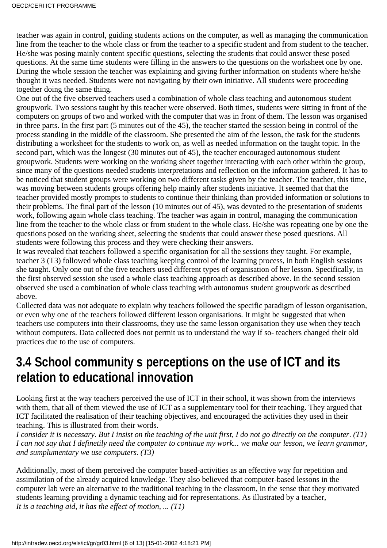teacher was again in control, guiding students actions on the computer, as well as managing the communication line from the teacher to the whole class or from the teacher to a specific student and from student to the teacher. He/she was posing mainly content specific questions, selecting the students that could answer these posed questions. At the same time students were filling in the answers to the questions on the worksheet one by one. During the whole session the teacher was explaining and giving further information on students where he/she thought it was needed. Students were not navigating by their own initiative. All students were proceeding together doing the same thing.

One out of the five observed teachers used a combination of whole class teaching and autonomous student groupwork. Two sessions taught by this teacher were observed. Both times, students were sitting in front of the computers on groups of two and worked with the computer that was in front of them. The lesson was organised in three parts. In the first part (5 minutes out of the 45), the teacher started the session being in control of the process standing in the middle of the classroom. She presented the aim of the lesson, the task for the students distributing a worksheet for the students to work on, as well as needed information on the taught topic. In the second part, which was the longest (30 minutes out of 45), the teacher encouraged autonomous student groupwork. Students were working on the working sheet together interacting with each other within the group, since many of the questions needed students interpretations and reflection on the information gathered. It has to be noticed that student groups were working on two different tasks given by the teacher. The teacher, this time, was moving between students groups offering help mainly after students initiative. It seemed that that the teacher provided mostly prompts to students to continue their thinking than provided information or solutions to their problems. The final part of the lesson (10 minutes out of 45), was devoted to the presentation of students work, following again whole class teaching. The teacher was again in control, managing the communication line from the teacher to the whole class or from student to the whole class. He/she was repeating one by one the questions posed on the working sheet, selecting the students that could answer these posed questions. All students were following this process and they were checking their answers.

It was revealed that teachers followed a specific organisation for all the sessions they taught. For example, teacher 3 (T3) followed whole class teaching keeping control of the learning process, in both English sessions she taught. Only one out of the five teachers used different types of organisation of her lesson. Specifically, in the first observed session she used a whole class teaching approach as described above. In the second session observed she used a combination of whole class teaching with autonomus student groupwork as described above.

Collected data was not adequate to explain why teachers followed the specific paradigm of lesson organisation, or even why one of the teachers followed different lesson organisations. It might be suggested that when teachers use computers into their classrooms, they use the same lesson organisation they use when they teach without computers. Data collected does not permit us to understand the way if so- teachers changed their old practices due to the use of computers.

## **3.4 School communitys perceptions on the use of ICT and its relation to educational innovation**

Looking first at the way teachers perceived the use of ICT in their school, it was shown from the interviews with them, that all of them viewed the use of ICT as a supplementary tool for their teaching. They argued that ICT facilitated the realisation of their teaching objectives, and encouraged the activities they used in their teaching. This is illustrated from their words.

*I consider it is necessary. But I insist on the teaching of the unit first, I do not go directly on the computer*. *(T1) I can not say that I definetily need the computer to continue my work... we make our lesson, we learn grammar, and sumplumentary we use computers. (T3)*

Additionally, most of them perceived the computer based-activities as an effective way for repetition and assimilation of the already acquired knowledge. They also believed that computer-based lessons in the computer lab were an alternative to the traditional teaching in the classroom, in the sense that they motivated students learning providing a dynamic teaching aid for representations. As illustrated by a teacher, *It is a teaching aid, it has the effect of motion, ... (T1)*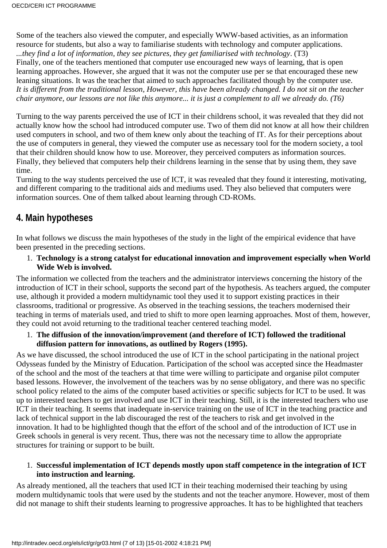Some of the teachers also viewed the computer, and especially WWW-based activities, as an information resource for students, but also a way to familiarise students with technology and computer applications. *...they find a lot of information, they see pictures, they get familiarised with technology*. (T3) Finally, one of the teachers mentioned that computer use encouraged new ways of learning, that is open learning approaches. However, she argued that it was not the computer use per se that encouraged these new leaning situations. It was the teacher that aimed to such approaches facilitated though by the computer use. *It is different from the traditional lesson, However, this have been already changed. I do not sit on the teacher chair anymore, our lessons are not like this anymore... it is just a complement to all we already do. (T6)*

Turning to the way parents perceived the use of ICT in their children s school, it was revealed that they did not actually know how the school had introduced computer use. Two of them did not know at all how their children used computers in school, and two of them knew only about the teaching of IT. As for their perceptions about the use of computers in general, they viewed the computer use as necessary tool for the modern society, a tool that their children should know how to use. Moreover, they perceived computers as information sources. Finally, they believed that computers help their children s learning in the sense that by using them, they save time.

Turning to the way students perceived the use of ICT, it was revealed that they found it interesting, motivating, and different comparing to the traditional aids and mediums used. They also believed that computers were information sources. One of them talked about learning through CD-ROMs.

### **4. Main hypotheses**

In what follows we discuss the main hypotheses of the study in the light of the empirical evidence that have been presented in the preceding sections.

#### **Technology is a strong catalyst for educational innovation and improvement especially when World** 1. **Wide Web is involved.**

The information we collected from the teachers and the administrator interviews concerning the history of the introduction of ICT in their school, supports the second part of the hypothesis. As teachers argued, the computer use, although it provided a modern multidynamic tool they used it to support existing practices in their classrooms, traditional or progressive. As observed in the teaching sessions, the teachers modernised their teaching in terms of materials used, and tried to shift to more open learning approaches. Most of them, however, they could not avoid returning to the traditional teacher centered teaching model.

#### **The diffusion of the innovation/improvement (and therefore of ICT) followed the traditional** 1. **diffusion pattern for innovations, as outlined by Rogers (1995).**

As we have discussed, the school introduced the use of ICT in the school participating in the national project Odysseas funded by the Ministry of Education. Participation of the school was accepted since the Headmaster of the school and the most of the teachers at that time were willing to participate and organise pilot computer based lessons. However, the involvement of the teachers was by no sense obligatory, and there was no specific school policy related to the aims of the computer based activities or specific subjects for ICT to be used. It was up to interested teachers to get involved and use ICT in their teaching. Still, it is the interested teachers who use ICT in their teaching. It seems that inadequate in-service training on the use of ICT in the teaching practice and lack of technical support in the lab discouraged the rest of the teachers to risk and get involved in the innovation. It had to be highlighted though that the effort of the school and of the introduction of ICT use in Greek schools in general is very recent. Thus, there was not the necessary time to allow the appropriate structures for training or support to be built.

#### **Successful implementation of ICT depends mostly upon staff competence in the integration of ICT** 1. **into instruction and learning.**

As already mentioned, all the teachers that used ICT in their teaching modernised their teaching by using modern multidynamic tools that were used by the students and not the teacher anymore. However, most of them did not manage to shift their students learning to progressive approaches. It has to be highlighted that teachers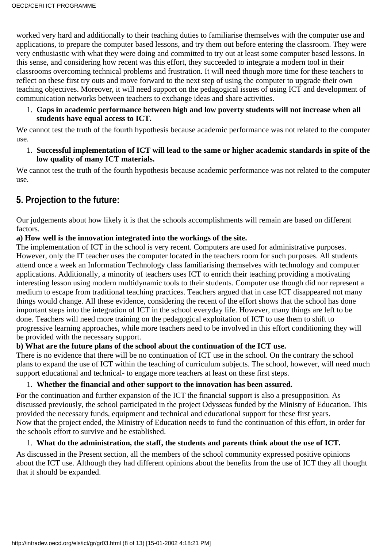worked very hard and additionally to their teaching duties to familiarise themselves with the computer use and applications, to prepare the computer based lessons, and try them out before entering the classroom. They were very enthusiastic with what they were doing and committed to try out at least some computer based lessons. In this sense, and considering how recent was this effort, they succeeded to integrate a modern tool in their classrooms overcoming technical problems and frustration. It will need though more time for these teachers to reflect on these first try outs and move forward to the next step of using the computer to upgrade their own teaching objectives. Moreover, it will need support on the pedagogical issues of using ICT and development of communication networks between teachers to exchange ideas and share activities.

**Gaps in academic performance between high and low poverty students will not increase when all** 1. **students have equal access to ICT.**

We cannot test the truth of the fourth hypothesis because academic performance was not related to the computer use.

**Successful implementation of ICT will lead to the same or higher academic standards in spite of the** 1. **low quality of many ICT materials.**

We cannot test the truth of the fourth hypothesis because academic performance was not related to the computer use.

### **5. Projection to the future:**

Our judgements about how likely it is that the school s accomplishments will remain are based on different factors.

#### **a) How well is the innovation integrated into the workings of the site.**

The implementation of ICT in the school is very recent. Computers are used for administrative purposes. However, only the IT teacher uses the computer located in the teachers room for such purposes. All students attend once a week an Information Technology class familiarising themselves with technology and computer applications. Additionally, a minority of teachers uses ICT to enrich their teaching providing a motivating interesting lesson using modern multidynamic tools to their students. Computer use though did nor represent a medium to escape from traditional teaching practices. Teachers argued that in case ICT disappeared not many things would change. All these evidence, considering the recent of the effort shows that the school has done important steps into the integration of ICT in the school everyday life. However, many things are left to be done. Teachers will need more training on the pedagogical exploitation of ICT to use them to shift to progressive learning approaches, while more teachers need to be involved in this effort conditioning they will be provided with the necessary support.

#### **b) What are the future plans of the school about the continuation of the ICT use.**

There is no evidence that there will be no continuation of ICT use in the school. On the contrary the school plans to expand the use of ICT within the teaching of curriculum subjects. The school, however, will need much support educational and technical- to engage more teachers at least on these first steps.

#### 1. **Whether the financial and other support to the innovation has been assured.**

For the continuation and further expansion of the ICT the financial support is also a presupposition. As discussed previously, the school participated in the project Odysseas funded by the Ministry of Education. This provided the necessary funds, equipment and technical and educational support for these first years. Now that the project ended, the Ministry of Education needs to fund the continuation of this effort, in order for the school s effort to survive and be established.

#### 1. **What do the administration, the staff, the students and parents think about the use of ICT.**

As discussed in the Present section, all the members of the school community expressed positive opinions about the ICT use. Although they had different opinions about the benefits from the use of ICT they all thought that it should be expanded.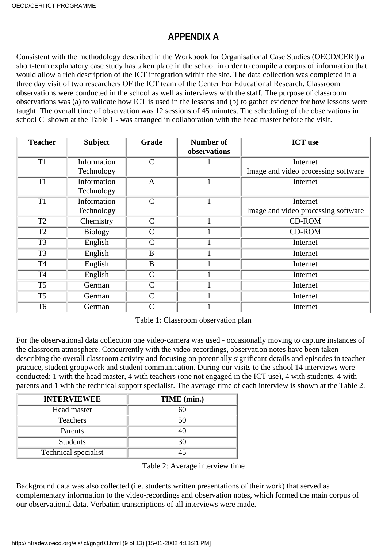## **APPENDIX A**

Consistent with the methodology described in the Workbook for Organisational Case Studies (OECD/CERI) a short-term explanatory case study has taken place in the school in order to compile a corpus of information that would allow a rich description of the ICT integration within the site. The data collection was completed in a three day visit of two researchers OF the ICT team of the Center For Educational Research. Classroom observations were conducted in the school as well as interviews with the staff. The purpose of classroom observations was (a) to validate how ICT is used in the lessons and (b) to gather evidence for how lessons were taught. The overall time of observation was 12 sessions of 45 minutes. The scheduling of the observations in school C shown at the Table 1 - was arranged in collaboration with the head master before the visit.

| <b>Teacher</b>  | <b>Subject</b> | Grade          | <b>Number of</b><br>observations | <b>ICT</b> use                      |
|-----------------|----------------|----------------|----------------------------------|-------------------------------------|
| T <sub>1</sub>  | Information    | $\mathcal{C}$  |                                  | Internet                            |
|                 | Technology     |                |                                  | Image and video processing software |
| $\overline{T1}$ | Information    | $\mathbf{A}$   |                                  | Internet                            |
|                 | Technology     |                |                                  |                                     |
| T1              | Information    | $\overline{C}$ |                                  | Internet                            |
|                 | Technology     |                |                                  | Image and video processing software |
| T <sub>2</sub>  | Chemistry      | $\mathcal{C}$  |                                  | <b>CD-ROM</b>                       |
| T <sub>2</sub>  | <b>Biology</b> | $\mathcal{C}$  |                                  | <b>CD-ROM</b>                       |
| T <sub>3</sub>  | English        | $\mathcal{C}$  |                                  | Internet                            |
| T <sub>3</sub>  | English        | $\bf{B}$       |                                  | Internet                            |
| <b>T4</b>       | English        | B              |                                  | Internet                            |
| <b>T4</b>       | English        | $\mathcal{C}$  |                                  | Internet                            |
| T <sub>5</sub>  | German         | $\overline{C}$ |                                  | Internet                            |
| T <sub>5</sub>  | German         | $\mathcal{C}$  |                                  | Internet                            |
| T <sub>6</sub>  | German         | $\mathcal{C}$  |                                  | Internet                            |

Table 1: Classroom observation plan

For the observational data collection one video-camera was used - occasionally moving to capture instances of the classroom atmosphere. Concurrently with the video-recordings, observation notes have been taken describing the overall classroom activity and focusing on potentially significant details and episodes in teacher practice, student groupwork and student communication. During our visits to the school 14 interviews were conducted: 1 with the head master, 4 with teachers (one not engaged in the ICT use), 4 with students, 4 with parents and 1 with the technical support specialist. The average time of each interview is shown at the Table 2.

| <b>INTERVIEWEE</b>   | TIME (min.) |
|----------------------|-------------|
| Head master          | 60          |
| <b>Teachers</b>      | 50          |
| Parents              |             |
| <b>Students</b>      | 30          |
| Technical specialist |             |

Table 2: Average interview time

Background data was also collected (i.e. students written presentations of their work) that served as complementary information to the video-recordings and observation notes, which formed the main corpus of our observational data. Verbatim transcriptions of all interviews were made.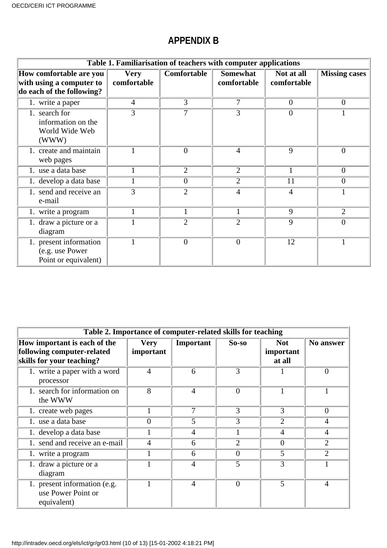## **APPENDIX B**

| Table 1. Familiarisation of teachers with computer applications                  |                            |                |                                |                           |                      |  |  |  |
|----------------------------------------------------------------------------------|----------------------------|----------------|--------------------------------|---------------------------|----------------------|--|--|--|
| How comfortable are you<br>with using a computer to<br>do each of the following? | <b>Very</b><br>comfortable | Comfortable    | <b>Somewhat</b><br>comfortable | Not at all<br>comfortable | <b>Missing cases</b> |  |  |  |
| 1. write a paper                                                                 | $\overline{4}$             | 3              | 7                              | $\overline{0}$            | $\overline{0}$       |  |  |  |
| 1. search for<br>information on the<br>World Wide Web<br>(WWW)                   | 3                          | 7              | 3                              | $\overline{0}$            |                      |  |  |  |
| 1. create and maintain<br>web pages                                              |                            | $\overline{0}$ | $\overline{4}$                 | 9                         | $\overline{0}$       |  |  |  |
| 1. use a data base                                                               | 1                          | $\overline{2}$ | $\overline{2}$                 |                           | $\overline{0}$       |  |  |  |
| 1. develop a data base                                                           |                            | $\theta$       | $\overline{2}$                 | 11                        | 0                    |  |  |  |
| 1. send and receive an<br>e-mail                                                 | 3                          | $\overline{2}$ | 4                              | $\overline{4}$            |                      |  |  |  |
| 1. write a program                                                               |                            |                |                                | 9                         | $\overline{2}$       |  |  |  |
| draw a picture or a<br>diagram                                                   |                            | $\overline{2}$ | $\overline{2}$                 | 9                         | $\Omega$             |  |  |  |
| present information<br>(e.g. use Power<br>Point or equivalent)                   |                            | $\overline{0}$ | $\theta$                       | 12                        |                      |  |  |  |

| Table 2. Importance of computer-related skills for teaching                             |                          |                |                |                                   |                |  |  |  |
|-----------------------------------------------------------------------------------------|--------------------------|----------------|----------------|-----------------------------------|----------------|--|--|--|
| How important is each of the<br>following computer-related<br>skills for your teaching? | <b>Very</b><br>important | Important      | $So-so$        | <b>Not</b><br>important<br>at all | No answer      |  |  |  |
| 1. write a paper with a word<br>processor                                               | 4                        | 6              | 3              |                                   | $\theta$       |  |  |  |
| 1. search for information on<br>the WWW                                                 | 8                        | $\overline{4}$ | $\theta$       | 1                                 | 1              |  |  |  |
| 1. create web pages                                                                     |                          | 7              | $\overline{3}$ | 3                                 | $\overline{0}$ |  |  |  |
| 1. use a data base                                                                      | $\Omega$                 | 5              | 3              | $\overline{2}$                    | 4              |  |  |  |
| 1. develop a data base                                                                  |                          | 4              |                | 4                                 | 4              |  |  |  |
| 1. send and receive an e-mail                                                           | $\overline{4}$           | 6              | $\overline{2}$ | $\theta$                          | $\overline{2}$ |  |  |  |
| 1. write a program                                                                      |                          | 6              | $\theta$       | 5                                 | $\overline{2}$ |  |  |  |
| 1. draw a picture or a<br>diagram                                                       |                          | 4              | 5              | 3                                 |                |  |  |  |
| 1. present information (e.g.<br>use Power Point or<br>equivalent)                       |                          | $\overline{4}$ | $\theta$       | $\overline{5}$                    | $\overline{4}$ |  |  |  |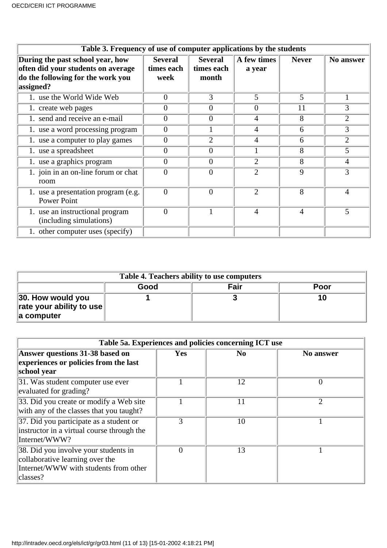| Table 3. Frequency of use of computer applications by the students                                                       |                                      |                                       |                       |                |                |  |  |  |
|--------------------------------------------------------------------------------------------------------------------------|--------------------------------------|---------------------------------------|-----------------------|----------------|----------------|--|--|--|
| During the past school year, how<br>often did your students on average<br>do the following for the work you<br>assigned? | <b>Several</b><br>times each<br>week | <b>Several</b><br>times each<br>month | A few times<br>a year | <b>Never</b>   | No answer      |  |  |  |
| 1. use the World Wide Web                                                                                                | $\overline{0}$                       | 3                                     | 5                     | 5              |                |  |  |  |
| 1. create web pages                                                                                                      | 0                                    | 0                                     | $\theta$              | 11             | 3              |  |  |  |
| 1. send and receive an e-mail                                                                                            | 0                                    | 0                                     | 4                     | 8              | $\overline{2}$ |  |  |  |
| 1. use a word processing program                                                                                         | $\boldsymbol{0}$                     |                                       | 4                     | 6              | 3              |  |  |  |
| 1. use a computer to play games                                                                                          | $\Omega$                             | $\overline{2}$                        | $\overline{4}$        | 6              | $\overline{2}$ |  |  |  |
| 1. use a spreadsheet                                                                                                     | 0                                    | 0                                     |                       | 8              | 5              |  |  |  |
| 1. use a graphics program                                                                                                | $\overline{0}$                       | 0                                     | $\overline{2}$        | 8              | $\overline{4}$ |  |  |  |
| 1. join in an on-line forum or chat<br>room                                                                              | $\overline{0}$                       | 0                                     | $\overline{2}$        | 9              | 3              |  |  |  |
| 1. use a presentation program (e.g.<br><b>Power Point</b>                                                                | $\overline{0}$                       | $\theta$                              | $\overline{2}$        | 8              | 4              |  |  |  |
| 1. use an instructional program<br>(including simulations)                                                               | $\overline{0}$                       |                                       | $\overline{4}$        | $\overline{4}$ | 5              |  |  |  |
| 1. other computer uses (specify)                                                                                         |                                      |                                       |                       |                |                |  |  |  |

| Table 4. Teachers ability to use computers                                       |      |      |      |  |  |  |
|----------------------------------------------------------------------------------|------|------|------|--|--|--|
|                                                                                  | Good | Fair | Poor |  |  |  |
| 30. How would you<br>$\vert$ rate your ability to use $\vert\vert$<br>a computer |      |      | 10   |  |  |  |

| Table 5a. Experiences and policies concerning ICT use                                                                        |               |                |                  |  |  |  |  |
|------------------------------------------------------------------------------------------------------------------------------|---------------|----------------|------------------|--|--|--|--|
| Answer questions 31-38 based on<br>experiences or policies from the last<br>school year                                      | <b>Yes</b>    | N <sub>0</sub> | <b>No answer</b> |  |  |  |  |
| 31. Was student computer use ever<br>evaluated for grading?                                                                  |               | 12             | 0                |  |  |  |  |
| 33. Did you create or modify a Web site<br>with any of the classes that you taught?                                          |               | 11             | 2                |  |  |  |  |
| $ 37$ . Did you participate as a student or<br>instructor in a virtual course through the<br>Internet/WWW?                   | $\mathcal{R}$ | 10             |                  |  |  |  |  |
| 38. Did you involve your students in<br>collaborative learning over the<br>Internet/WWW with students from other<br>classes? | 0             | 13             |                  |  |  |  |  |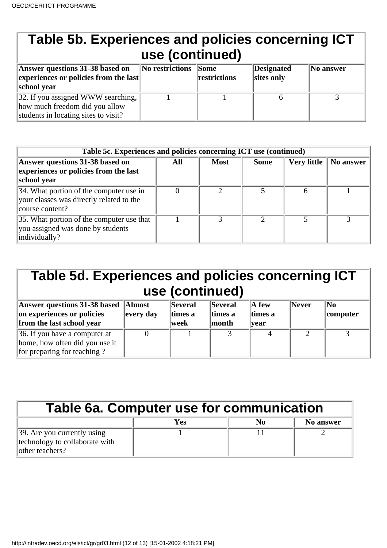| Table 5b. Experiences and policies concerning ICT<br>use (continued)                                         |                 |                             |                          |           |  |  |  |
|--------------------------------------------------------------------------------------------------------------|-----------------|-----------------------------|--------------------------|-----------|--|--|--|
| Answer questions 31-38 based on<br>experiences or policies from the last<br>school year                      | No restrictions | <b>Some</b><br>restrictions | Designated<br>sites only | No answer |  |  |  |
| 32. If you assigned WWW searching,<br>how much freedom did you allow<br>students in locating sites to visit? |                 |                             | 6                        | っ         |  |  |  |

| Table 5c. Experiences and policies concerning ICT use (continued)                                      |     |             |             |                    |           |  |  |  |
|--------------------------------------------------------------------------------------------------------|-----|-------------|-------------|--------------------|-----------|--|--|--|
| Answer questions 31-38 based on<br>experiences or policies from the last<br>school year                | All | <b>Most</b> | <b>Some</b> | <b>Very little</b> | No answer |  |  |  |
| 34. What portion of the computer use in<br>your classes was directly related to the<br>course content? |     |             |             |                    |           |  |  |  |
| 35. What portion of the computer use that<br>you assigned was done by students<br>individually?        |     |             |             |                    |           |  |  |  |

| Table 5d. Experiences and policies concerning ICT<br>use (continued)                                   |                            |                            |                                    |                                           |       |                            |  |  |
|--------------------------------------------------------------------------------------------------------|----------------------------|----------------------------|------------------------------------|-------------------------------------------|-------|----------------------------|--|--|
| Answer questions 31-38 based<br>on experiences or policies<br>from the last school year                | <b>Almost</b><br>every day | Several<br>times a<br>week | <b>Several</b><br>times a<br>month | $\mathbf A$ few<br>times a<br><b>vear</b> | Never | $\mathbf{N_0}$<br>computer |  |  |
| $\vert$ 36. If you have a computer at<br>home, how often did you use it<br>for preparing for teaching? |                            |                            |                                    |                                           | ∍     | 3                          |  |  |

| <b>Table 6a. Computer use for communication</b>                                           |     |    |           |  |  |  |  |
|-------------------------------------------------------------------------------------------|-----|----|-----------|--|--|--|--|
|                                                                                           | Yes | No | No answer |  |  |  |  |
| $\vert$ 39. Are you currently using<br>technology to collaborate with<br>lother teachers? |     |    |           |  |  |  |  |